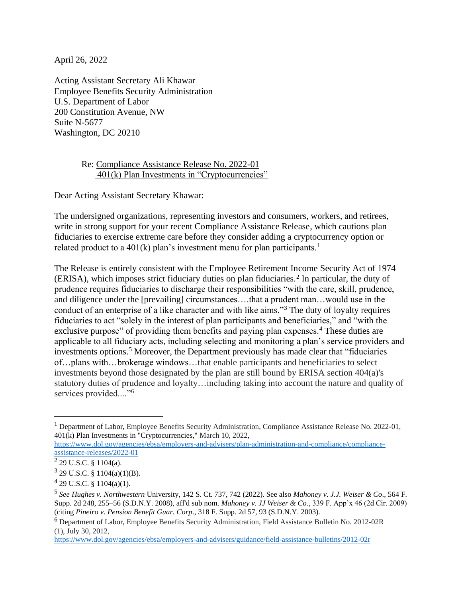April 26, 2022

Acting Assistant Secretary Ali Khawar Employee Benefits Security Administration U.S. Department of Labor 200 Constitution Avenue, NW Suite N-5677 Washington, DC 20210

## Re: Compliance Assistance Release No. 2022-01 401(k) Plan Investments in "Cryptocurrencies"

Dear Acting Assistant Secretary Khawar:

The undersigned organizations, representing investors and consumers, workers, and retirees, write in strong support for your recent Compliance Assistance Release, which cautions plan fiduciaries to exercise extreme care before they consider adding a cryptocurrency option or related product to a  $401(k)$  plan's investment menu for plan participants.<sup>1</sup>

The Release is entirely consistent with the Employee Retirement Income Security Act of 1974  $(ERISA)$ , which imposes strict fiduciary duties on plan fiduciaries.<sup>2</sup> In particular, the duty of prudence requires fiduciaries to discharge their responsibilities "with the care, skill, prudence, and diligence under the [prevailing] circumstances….that a prudent man…would use in the conduct of an enterprise of a like character and with like aims."<sup>3</sup> The duty of loyalty requires fiduciaries to act "solely in the interest of plan participants and beneficiaries," and "with the exclusive purpose" of providing them benefits and paying plan expenses.<sup>4</sup> These duties are applicable to all fiduciary acts, including selecting and monitoring a plan's service providers and investments options.<sup>5</sup> Moreover, the Department previously has made clear that "fiduciaries" of…plans with…brokerage windows…that enable participants and beneficiaries to select investments beyond those designated by the plan are still bound by ERISA section 404(a)'s statutory duties of prudence and loyalty…including taking into account the nature and quality of services provided...."<sup>6</sup>

<sup>&</sup>lt;sup>1</sup> Department of Labor, Employee Benefits Security Administration, Compliance Assistance Release No. 2022-01, 401(k) Plan Investments in "Cryptocurrencies," March 10, 2022,

[https://www.dol.gov/agencies/ebsa/employers-and-advisers/plan-administration-and-compliance/compliance](https://www.dol.gov/agencies/ebsa/employers-and-advisers/plan-administration-and-compliance/compliance-assistance-releases/2022-01)[assistance-releases/2022-01](https://www.dol.gov/agencies/ebsa/employers-and-advisers/plan-administration-and-compliance/compliance-assistance-releases/2022-01)

 $2$  29 U.S.C. § 1104(a).

 $3$  29 U.S.C. § 1104(a)(1)(B).

 $4$  29 U.S.C. § 1104(a)(1).

<sup>5</sup> *See Hughes v. Northwestern* University, 142 S. Ct. 737, 742 (2022). See also *Mahoney v. J.J. Weiser & Co*., 564 F. Supp. 2d 248, 255–56 (S.D.N.Y. 2008), aff'd sub nom. *Mahoney v. JJ Weiser & Co*., 339 F. App'x 46 (2d Cir. 2009) (citing *Pineiro v. Pension Benefit Guar. Corp*., 318 F. Supp. 2d 57, 93 (S.D.N.Y. 2003).

<sup>6</sup> Department of Labor, Employee Benefits Security Administration, Field Assistance Bulletin No. 2012-02R (1), July 30, 2012,

<https://www.dol.gov/agencies/ebsa/employers-and-advisers/guidance/field-assistance-bulletins/2012-02r>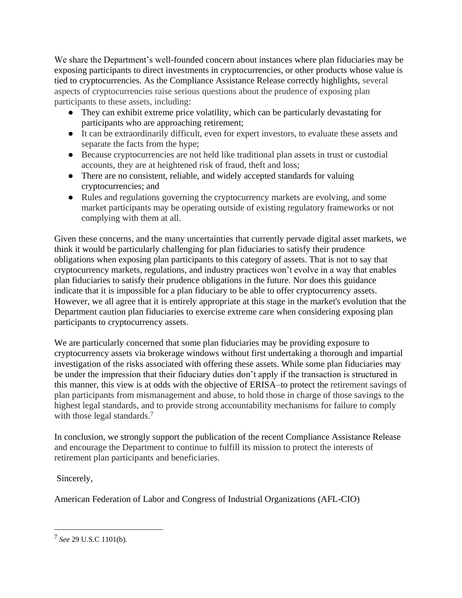We share the Department's well-founded concern about instances where plan fiduciaries may be exposing participants to direct investments in cryptocurrencies, or other products whose value is tied to cryptocurrencies. As the Compliance Assistance Release correctly highlights, several aspects of cryptocurrencies raise serious questions about the prudence of exposing plan participants to these assets, including:

- They can exhibit extreme price volatility, which can be particularly devastating for participants who are approaching retirement;
- It can be extraordinarily difficult, even for expert investors, to evaluate these assets and separate the facts from the hype;
- Because cryptocurrencies are not held like traditional plan assets in trust or custodial accounts, they are at heightened risk of fraud, theft and loss;
- There are no consistent, reliable, and widely accepted standards for valuing cryptocurrencies; and
- Rules and regulations governing the cryptocurrency markets are evolving, and some market participants may be operating outside of existing regulatory frameworks or not complying with them at all.

Given these concerns, and the many uncertainties that currently pervade digital asset markets, we think it would be particularly challenging for plan fiduciaries to satisfy their prudence obligations when exposing plan participants to this category of assets. That is not to say that cryptocurrency markets, regulations, and industry practices won't evolve in a way that enables plan fiduciaries to satisfy their prudence obligations in the future. Nor does this guidance indicate that it is impossible for a plan fiduciary to be able to offer cryptocurrency assets. However, we all agree that it is entirely appropriate at this stage in the market's evolution that the Department caution plan fiduciaries to exercise extreme care when considering exposing plan participants to cryptocurrency assets.

We are particularly concerned that some plan fiduciaries may be providing exposure to cryptocurrency assets via brokerage windows without first undertaking a thorough and impartial investigation of the risks associated with offering these assets. While some plan fiduciaries may be under the impression that their fiduciary duties don't apply if the transaction is structured in this manner, this view is at odds with the objective of ERISA–to protect the retirement savings of plan participants from mismanagement and abuse, to hold those in charge of those savings to the highest legal standards, and to provide strong accountability mechanisms for failure to comply with those legal standards.<sup>7</sup>

In conclusion, we strongly support the publication of the recent Compliance Assistance Release and encourage the Department to continue to fulfill its mission to protect the interests of retirement plan participants and beneficiaries.

Sincerely,

American Federation of Labor and Congress of Industrial Organizations (AFL-CIO)

<sup>7</sup> *See* 29 U.S.C 1101(b).